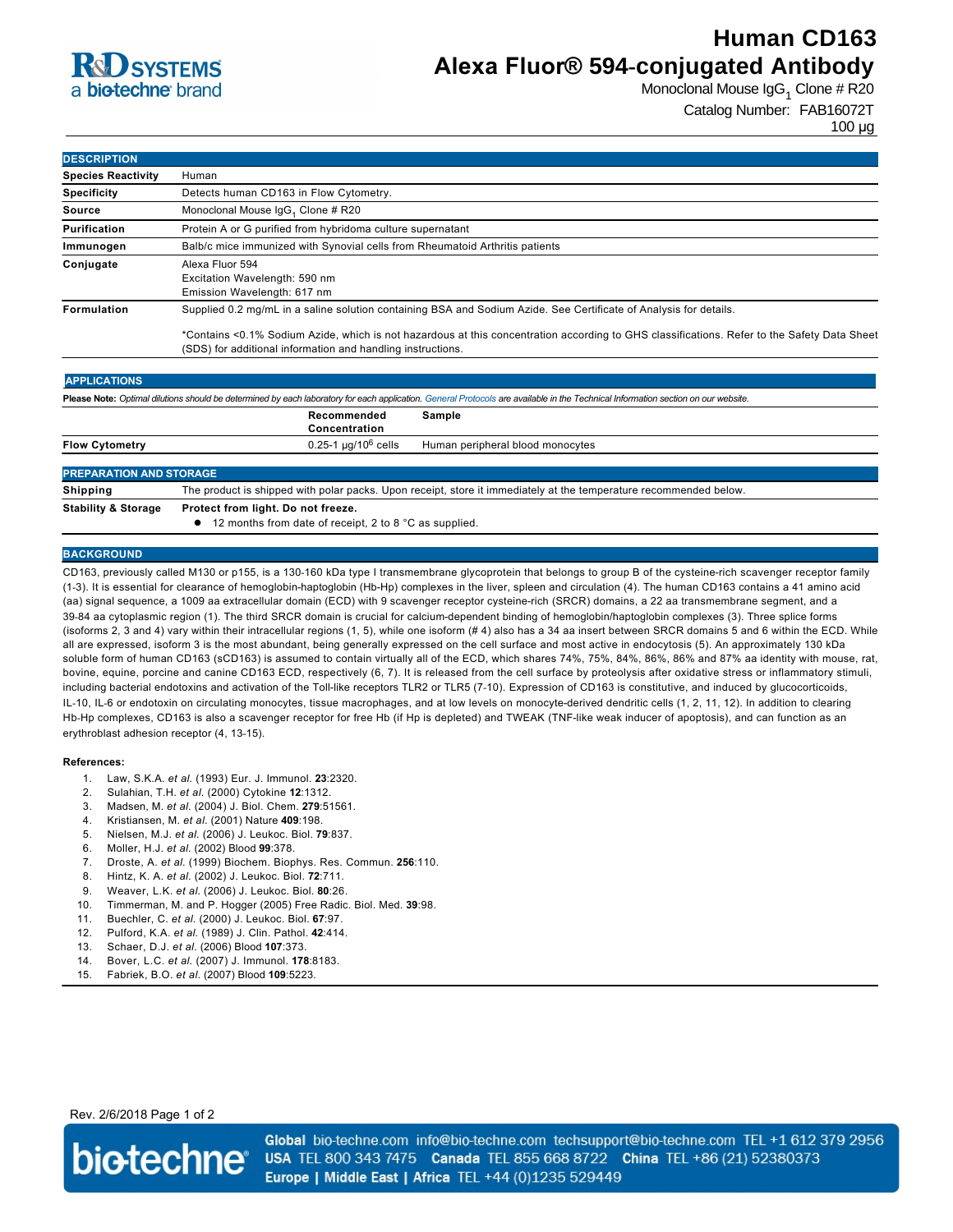# **R**CO SYSTEMS a **bio-techne** brand

## **Human CD163 Alexa Fluor® 594-conjugated Antibody**

Monoclonal Mouse IgG<sub>1</sub> Clone # R20

Catalog Number: FAB16072T

100 µg

| <b>DESCRIPTION</b>        |                                                                                                                                                                                                                                                                                                                                 |  |
|---------------------------|---------------------------------------------------------------------------------------------------------------------------------------------------------------------------------------------------------------------------------------------------------------------------------------------------------------------------------|--|
| <b>Species Reactivity</b> | Human                                                                                                                                                                                                                                                                                                                           |  |
| <b>Specificity</b>        | Detects human CD163 in Flow Cytometry.                                                                                                                                                                                                                                                                                          |  |
| Source                    | Monoclonal Mouse IgG <sub>1</sub> Clone # R20                                                                                                                                                                                                                                                                                   |  |
| Purification              | Protein A or G purified from hybridoma culture supernatant                                                                                                                                                                                                                                                                      |  |
| Immunogen                 | Balb/c mice immunized with Synovial cells from Rheumatoid Arthritis patients                                                                                                                                                                                                                                                    |  |
| Conjugate                 | Alexa Fluor 594<br>Excitation Wavelength: 590 nm<br>Emission Wavelength: 617 nm                                                                                                                                                                                                                                                 |  |
| <b>Formulation</b>        | Supplied 0.2 mg/mL in a saline solution containing BSA and Sodium Azide. See Certificate of Analysis for details.<br>*Contains <0.1% Sodium Azide, which is not hazardous at this concentration according to GHS classifications. Refer to the Safety Data Sheet<br>(SDS) for additional information and handling instructions. |  |
| <b>APPLICATIONS</b>       |                                                                                                                                                                                                                                                                                                                                 |  |

| Please Note: Optimal dilutions should be determined by each laboratory for each application. General Protocols are available in the Technical Information section on our website. |                                                                                                                   |                                  |  |  |
|-----------------------------------------------------------------------------------------------------------------------------------------------------------------------------------|-------------------------------------------------------------------------------------------------------------------|----------------------------------|--|--|
|                                                                                                                                                                                   | Recommended<br>Concentration                                                                                      | Sample                           |  |  |
| <b>Flow Cytometry</b>                                                                                                                                                             | $0.25$ -1 µg/10 $^6$ cells                                                                                        | Human peripheral blood monocytes |  |  |
| <b>PREPARATION AND STORAGE</b>                                                                                                                                                    |                                                                                                                   |                                  |  |  |
| Shipping                                                                                                                                                                          | The product is shipped with polar packs. Upon receipt, store it immediately at the temperature recommended below. |                                  |  |  |

**Stability & Storage Protect from light. Do not freeze.**

 $\bullet$  12 months from date of receipt, 2 to 8 °C as supplied.

### **BACKGROUND**

CD163, previously called M130 or p155, is a 130-160 kDa type I transmembrane glycoprotein that belongs to group B of the cysteine-rich scavenger receptor family (13). It is essential for clearance of hemoglobinhaptoglobin (HbHp) complexes in the liver, spleen and circulation (4). The human CD163 contains a 41 amino acid (aa) signal sequence, a 1009 aa extracellular domain (ECD) with 9 scavenger receptor cysteine-rich (SRCR) domains, a 22 aa transmembrane segment, and a 39-84 aa cytoplasmic region (1). The third SRCR domain is crucial for calcium-dependent binding of hemoglobin/haptoglobin complexes (3). Three splice forms (isoforms 2, 3 and 4) vary within their intracellular regions (1, 5), while one isoform (# 4) also has a 34 aa insert between SRCR domains 5 and 6 within the ECD. While all are expressed, isoform 3 is the most abundant, being generally expressed on the cell surface and most active in endocytosis (5). An approximately 130 kDa soluble form of human CD163 (sCD163) is assumed to contain virtually all of the ECD, which shares 74%, 75%, 84%, 86%, 86% and 87% aa identity with mouse, rat, bovine, equine, porcine and canine CD163 ECD, respectively (6, 7). It is released from the cell surface by proteolysis after oxidative stress or inflammatory stimuli, including bacterial endotoxins and activation of the Toll-like receptors TLR2 or TLR5 (7-10). Expression of CD163 is constitutive, and induced by glucocorticoids, IL-10, IL-6 or endotoxin on circulating monocytes, tissue macrophages, and at low levels on monocyte-derived dendritic cells (1, 2, 11, 12). In addition to clearing Hb-Hp complexes, CD163 is also a scavenger receptor for free Hb (if Hp is depleted) and TWEAK (TNF-like weak inducer of apoptosis), and can function as an erythroblast adhesion receptor (4, 13-15).

#### **References:**

- 1. Law, S.K.A. *et al.* (1993) Eur. J. Immunol. **23**:2320.
- 2. Sulahian, T.H. *et al.* (2000) Cytokine **12**:1312.
- 3. Madsen, M. *et al.* (2004) J. Biol. Chem. **279**:51561.
- 4. Kristiansen, M. *et al.* (2001) Nature **409**:198.
- 5. Nielsen, M.J. *et al.* (2006) J. Leukoc. Biol. **79**:837.
- 6. Moller, H.J. *et al.* (2002) Blood **99**:378.
- 7. Droste, A. *et al.* (1999) Biochem. Biophys. Res. Commun. **256**:110.
- 8. Hintz, K. A. *et al.* (2002) J. Leukoc. Biol. **72**:711.
- 9. Weaver, L.K. *et al.* (2006) J. Leukoc. Biol. **80**:26.
- 10. Timmerman, M. and P. Hogger (2005) Free Radic. Biol. Med. **39**:98.
- 11. Buechler, C. *et al.* (2000) J. Leukoc. Biol. **67**:97.
- 12. Pulford, K.A. *et al.* (1989) J. Clin. Pathol. **42**:414.
- 13. Schaer, D.J. *et al.* (2006) Blood **107**:373.
- 14. Bover, L.C. *et al.* (2007) J. Immunol. **178**:8183.
- 15. Fabriek, B.O. *et al.* (2007) Blood **109**:5223.

Rev. 2/6/2018 Page 1 of 2



Global bio-techne.com info@bio-techne.com techsupport@bio-techne.com TEL +1 612 379 2956 USA TEL 800 343 7475 Canada TEL 855 668 8722 China TEL +86 (21) 52380373 Europe | Middle East | Africa TEL +44 (0)1235 529449